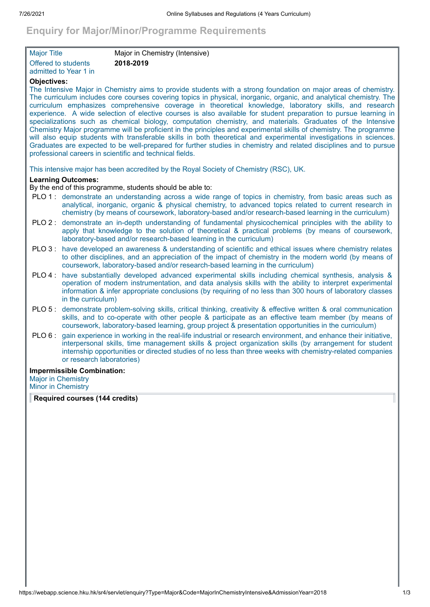# **Enquiry for Major/Minor/Programme Requirements**

| <b>Major Title</b>    | Major in Chemistry (Intensive) |  |
|-----------------------|--------------------------------|--|
| Offered to students   | 2018-2019                      |  |
| admitted to Year 1 in |                                |  |

# **Objectives:**

The Intensive Major in Chemistry aims to provide students with a strong foundation on major areas of chemistry. The curriculum includes core courses covering topics in physical, inorganic, organic, and analytical chemistry. The curriculum emphasizes comprehensive coverage in theoretical knowledge, laboratory skills, and research experience. A wide selection of elective courses is also available for student preparation to pursue learning in specializations such as chemical biology, computation chemistry, and materials. Graduates of the Intensive Chemistry Major programme will be proficient in the principles and experimental skills of chemistry. The programme will also equip students with transferable skills in both theoretical and experimental investigations in sciences. Graduates are expected to be well-prepared for further studies in chemistry and related disciplines and to pursue professional careers in scientific and technical fields.

This intensive major has been accredited by the Royal Society of Chemistry (RSC), UK.

# **Learning Outcomes:**

By the end of this programme, students should be able to:

- PLO 1 : demonstrate an understanding across a wide range of topics in chemistry, from basic areas such as analytical, inorganic, organic & physical chemistry, to advanced topics related to current research in chemistry (by means of coursework, laboratory-based and/or research-based learning in the curriculum)
- PLO 2 : demonstrate an in-depth understanding of fundamental physicochemical principles with the ability to apply that knowledge to the solution of theoretical & practical problems (by means of coursework, laboratory-based and/or research-based learning in the curriculum)
- PLO 3 : have developed an awareness & understanding of scientific and ethical issues where chemistry relates to other disciplines, and an appreciation of the impact of chemistry in the modern world (by means of coursework, laboratory-based and/or research-based learning in the curriculum)
- PLO 4 : have substantially developed advanced experimental skills including chemical synthesis, analysis & operation of modern instrumentation, and data analysis skills with the ability to interpret experimental information & infer appropriate conclusions (by requiring of no less than 300 hours of laboratory classes in the curriculum)
- PLO 5 : demonstrate problem-solving skills, critical thinking, creativity & effective written & oral communication skills, and to co-operate with other people & participate as an effective team member (by means of coursework, laboratory-based learning, group project & presentation opportunities in the curriculum)
- PLO 6 : gain experience in working in the real-life industrial or research environment, and enhance their initiative, interpersonal skills, time management skills & project organization skills (by arrangement for student internship opportunities or directed studies of no less than three weeks with chemistry-related companies or research laboratories)

#### **Impermissible Combination:**

Major in Chemistry Minor in Chemistry

**Required courses (144 credits)**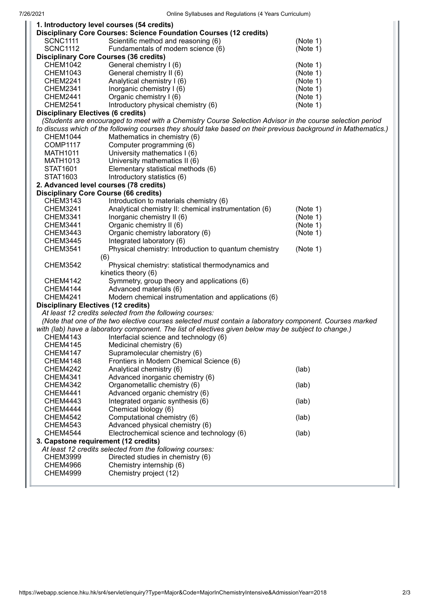|                                                                                                                | 1. Introductory level courses (54 credits)                         |          |
|----------------------------------------------------------------------------------------------------------------|--------------------------------------------------------------------|----------|
|                                                                                                                | Disciplinary Core Courses: Science Foundation Courses (12 credits) |          |
| <b>SCNC1111</b>                                                                                                | Scientific method and reasoning (6)                                | (Note 1) |
| <b>SCNC1112</b>                                                                                                | Fundamentals of modern science (6)                                 | (Note 1) |
|                                                                                                                | <b>Disciplinary Core Courses (36 credits)</b>                      |          |
| <b>CHEM1042</b>                                                                                                | General chemistry I (6)                                            | (Note 1) |
| <b>CHEM1043</b>                                                                                                | General chemistry II (6)                                           | (Note 1) |
| <b>CHEM2241</b>                                                                                                | Analytical chemistry I (6)                                         | (Note 1) |
| <b>CHEM2341</b>                                                                                                | Inorganic chemistry I (6)                                          | (Note 1) |
| <b>CHEM2441</b>                                                                                                | Organic chemistry I (6)                                            | (Note 1) |
| <b>CHEM2541</b>                                                                                                | Introductory physical chemistry (6)                                | (Note 1) |
| <b>Disciplinary Electives (6 credits)</b>                                                                      |                                                                    |          |
| (Students are encouraged to meet with a Chemistry Course Selection Advisor in the course selection period      |                                                                    |          |
| to discuss which of the following courses they should take based on their previous background in Mathematics.) |                                                                    |          |
| <b>CHEM1044</b>                                                                                                | Mathematics in chemistry (6)                                       |          |
| <b>COMP1117</b>                                                                                                | Computer programming (6)                                           |          |
| <b>MATH1011</b>                                                                                                | University mathematics I (6)                                       |          |
| MATH1013                                                                                                       | University mathematics II (6)                                      |          |
| STAT1601                                                                                                       | Elementary statistical methods (6)                                 |          |
| STAT1603                                                                                                       | Introductory statistics (6)                                        |          |
|                                                                                                                | 2. Advanced level courses (78 credits)                             |          |
|                                                                                                                | <b>Disciplinary Core Course (66 credits)</b>                       |          |
| CHEM3143                                                                                                       | Introduction to materials chemistry (6)                            |          |
| <b>CHEM3241</b>                                                                                                | Analytical chemistry II: chemical instrumentation (6)              | (Note 1) |
| <b>CHEM3341</b>                                                                                                | Inorganic chemistry II (6)                                         | (Note 1) |
| <b>CHEM3441</b>                                                                                                | Organic chemistry II (6)                                           | (Note 1) |
| <b>CHEM3443</b>                                                                                                | Organic chemistry laboratory (6)                                   | (Note 1) |
|                                                                                                                |                                                                    |          |
| <b>CHEM3445</b>                                                                                                | Integrated laboratory (6)                                          |          |
| <b>CHEM3541</b>                                                                                                | Physical chemistry: Introduction to quantum chemistry              | (Note 1) |
|                                                                                                                | (6)                                                                |          |
| <b>CHEM3542</b>                                                                                                | Physical chemistry: statistical thermodynamics and                 |          |
|                                                                                                                | kinetics theory (6)                                                |          |
| <b>CHEM4142</b>                                                                                                | Symmetry, group theory and applications (6)                        |          |
| <b>CHEM4144</b>                                                                                                | Advanced materials (6)                                             |          |
| <b>CHEM4241</b>                                                                                                | Modern chemical instrumentation and applications (6)               |          |
| <b>Disciplinary Electives (12 credits)</b>                                                                     |                                                                    |          |
| At least 12 credits selected from the following courses:                                                       |                                                                    |          |
| (Note that one of the two elective courses selected must contain a laboratory component. Courses marked        |                                                                    |          |
| with (lab) have a laboratory component. The list of electives given below may be subject to change.)           |                                                                    |          |
| CHEM4143                                                                                                       | Interfacial science and technology (6)                             |          |
| <b>CHEM4145</b>                                                                                                | Medicinal chemistry (6)                                            |          |
| <b>CHEM4147</b>                                                                                                | Supramolecular chemistry (6)                                       |          |
| <b>CHEM4148</b>                                                                                                | Frontiers in Modern Chemical Science (6)                           |          |
| <b>CHEM4242</b>                                                                                                | Analytical chemistry (6)                                           | (lab)    |
| <b>CHEM4341</b>                                                                                                | Advanced inorganic chemistry (6)                                   |          |
| <b>CHEM4342</b>                                                                                                | Organometallic chemistry (6)                                       | (lab)    |
| <b>CHEM4441</b>                                                                                                | Advanced organic chemistry (6)                                     |          |
| <b>CHEM4443</b>                                                                                                | Integrated organic synthesis (6)                                   | (lab)    |
| <b>CHEM4444</b>                                                                                                | Chemical biology (6)                                               |          |
| <b>CHEM4542</b>                                                                                                | Computational chemistry (6)                                        | (lab)    |
| <b>CHEM4543</b>                                                                                                | Advanced physical chemistry (6)                                    |          |
| <b>CHEM4544</b>                                                                                                | Electrochemical science and technology (6)                         | (lab)    |
| 3. Capstone requirement (12 credits)                                                                           |                                                                    |          |
|                                                                                                                | At least 12 credits selected from the following courses:           |          |
| <b>CHEM3999</b>                                                                                                | Directed studies in chemistry (6)                                  |          |
| <b>CHEM4966</b>                                                                                                | Chemistry internship (6)                                           |          |
| <b>CHEM4999</b>                                                                                                | Chemistry project (12)                                             |          |
|                                                                                                                |                                                                    |          |